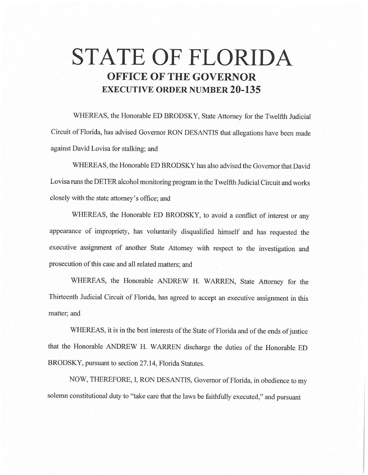## **STATE OF FLORIDA OFFICE OF THE GOVERNOR EXECUTIVE ORDER NUMBER 20-135**

WHEREAS, the Honorable ED BRODSKY, State Attorney for the Twelfth Judicial Circuit of Florida, has advised Governor RON DESANTIS that allegations have been made against David Lovisa for stalking; and

WHEREAS, the Honorable ED BRODSKY has also advised the Governor that David Lovisa runs the DETER alcohol monitoring program in the Twelfth Judicial Circuit and works closely with the state attorney's office; and

WHEREAS, the Honorable ED BRODSKY, to avoid a conflict of interest or any appearance of impropriety, has voluntarily disqualified himself and has requested the executive assignment of another State Attorney with respect to the investigation and prosecution of this case and all related matters; and

WHEREAS, the Honorable ANDREW H. WARREN, State Attorney for the Thirteenth Judicial Circuit of Florida, has agreed to accept an executive assignment in this matter; and

WHEREAS, it is in the best interests of the State of Florida and of the ends of justice that the Honorable ANDREW H. WARREN discharge the duties of the Honorable ED BRODSKY, pursuant to section 27.14, Florida Statutes.

NOW, THEREFORE, I, RON DESANTIS, Governor of Florida, in obedience to my solemn constitutional duty to ''take care that the laws be faithfully executed," and pursuant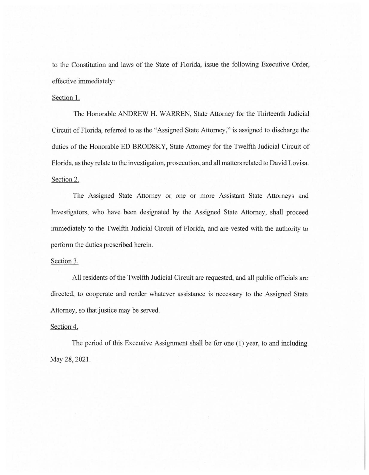to the Constitution and laws of the State of Florida, issue the following Executive Order, effective immediately:

## Section I.

The Honorable ANDREW H. WARREN, State Attorney for the Thirteenth Judicial Circuit of Florida, referred to as the "Assigned State Attorney," is assigned to discharge the duties of the Honorable ED BRODSKY, State Attorney for the Twelfth Judicial Circuit of Florida, as they relate to the investigation, prosecution, and all matters related to David Lovisa. Section 2.

The Assigned State Attorney or one or more Assistant State Attorneys and Investigators, who have been designated by the Assigned State Attorney, shall proceed immediately to the Twelfth Judicial Circuit of Florida, and are vested with the authority to perform the duties prescribed herein.

## Section 3.

All residents of the Twelfth Judicial Circuit are requested, and all public officials are directed, to cooperate and render whatever assistance is necessary to the Assigned State Attorney, so that justice may be served.

## Section 4.

The period of this Executive Assignment shall be for one (1) year, to and including May 28, 2021.